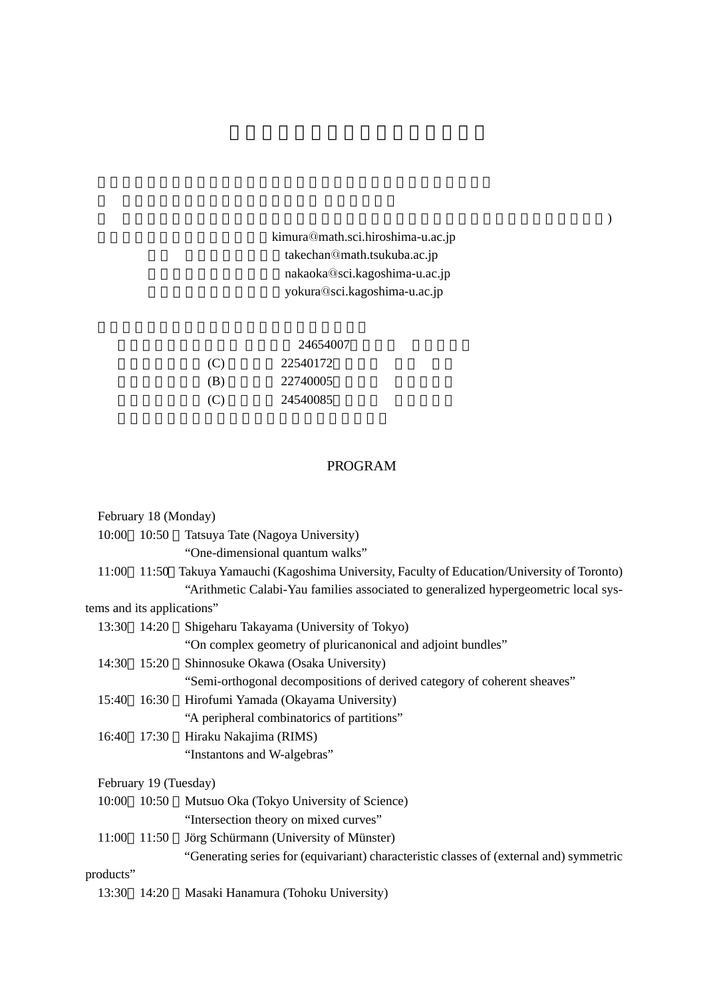## kimura@math.sci.hiroshima-u.ac.jp takechan@math.tsukuba.ac.jp nakaoka@sci.kagoshima-u.ac.jp yokura@sci.kagoshima-u.ac.jp

#### 24654007

| (C) | 22540172 |  |
|-----|----------|--|
| (B) | 22740005 |  |
| (C) | 24540085 |  |

## PROGRAM

|                            | February 18 (Monday)  |                                                                                          |
|----------------------------|-----------------------|------------------------------------------------------------------------------------------|
| 10:00                      | 10:50                 | Tatsuya Tate (Nagoya University)                                                         |
|                            |                       | "One-dimensional quantum walks"                                                          |
| 11:00                      |                       | 11:50 Takuya Yamauchi (Kagoshima University, Faculty of Education/University of Toronto) |
|                            |                       | "Arithmetic Calabi-Yau families associated to generalized hypergeometric local sys-      |
| tems and its applications" |                       |                                                                                          |
| 13:30 14:20                |                       | Shigeharu Takayama (University of Tokyo)                                                 |
|                            |                       | "On complex geometry of pluricanonical and adjoint bundles"                              |
| 14:30                      | 15:20                 | Shinnosuke Okawa (Osaka University)                                                      |
|                            |                       | "Semi-orthogonal decompositions of derived category of coherent sheaves"                 |
| 15:40                      | 16:30                 | Hirofumi Yamada (Okayama University)                                                     |
|                            |                       | "A peripheral combinatorics of partitions"                                               |
| 16:40                      | 17:30                 | Hiraku Nakajima (RIMS)                                                                   |
|                            |                       | "Instantons and W-algebras"                                                              |
|                            | February 19 (Tuesday) |                                                                                          |
| 10:00                      | 10:50                 | Mutsuo Oka (Tokyo University of Science)                                                 |
|                            |                       | "Intersection theory on mixed curves"                                                    |
| 11:00                      | 11:50                 | Jörg Schürmann (University of Münster)                                                   |
|                            |                       | "Generating series for (equivariant) characteristic classes of (external and) symmetric  |
| products"                  |                       |                                                                                          |
| 13:30                      | 14:20                 | Masaki Hanamura (Tohoku University)                                                      |
|                            |                       |                                                                                          |

) for  $\mathbb{R}^n$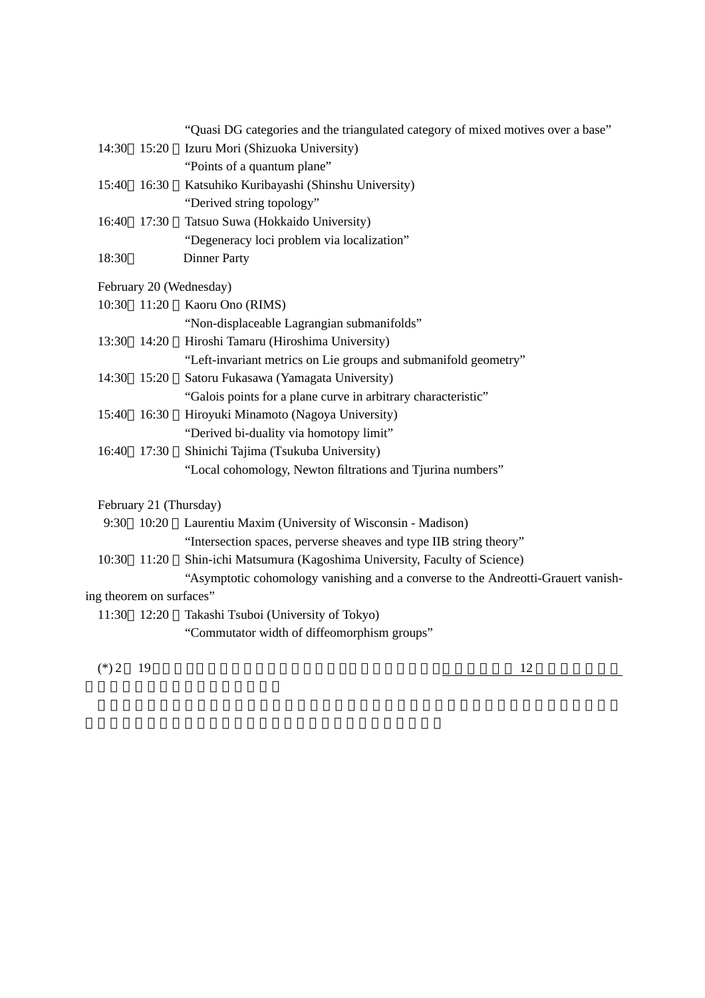|  |  | "Quasi DG categories and the triangulated category of mixed motives over a base" |
|--|--|----------------------------------------------------------------------------------|
|--|--|----------------------------------------------------------------------------------|

- 14:30 15:20 Izuru Mori (Shizuoka University) "Points of a quantum plane"
- 15:40 16:30 Katsuhiko Kuribayashi (Shinshu University) "Derived string topology" 16:40 17:30 Tatsuo Suwa (Hokkaido University)
- "Degeneracy loci problem via localization" 18:30~ Dinner Party

#### February 20 (Wednesday)

|       | 10:30 11:20 | Kaoru Ono (RIMS)                                                |
|-------|-------------|-----------------------------------------------------------------|
|       |             | "Non-displaceable Lagrangian submanifolds"                      |
| 13:30 | 14:20       | Hiroshi Tamaru (Hiroshima University)                           |
|       |             | "Left-invariant metrics on Lie groups and submanifold geometry" |
|       | 14:30 15:20 | Satoru Fukasawa (Yamagata University)                           |
|       |             | "Galois points for a plane curve in arbitrary characteristic"   |
| 15:40 | 16:30       | Hiroyuki Minamoto (Nagoya University)                           |
|       |             | "Derived bi-duality via homotopy limit"                         |
| 16:40 | 17:30       | Shinichi Tajima (Tsukuba University)                            |
|       |             | "Local cohomology, Newton filtrations and Tjurina numbers"      |

### February 21 (Thursday)

|  | 9:30 10:20 Laurentiu Maxim (University of Wisconsin - Madison)                   |  |
|--|----------------------------------------------------------------------------------|--|
|  | "Intersection spaces, perverse sheaves and type IIB string theory"               |  |
|  | 10:30 11:20 Shin-ichi Matsumura (Kagoshima University, Faculty of Science)       |  |
|  | "Asymptotic cohomology vanishing and a converse to the Andreotti-Grauert vanish- |  |

# ing theorem on surfaces"

11:30 12:20 Takashi Tsuboi (University of Tokyo)

"Commutator width of diffeomorphism groups"

 $(*)$  2 19 12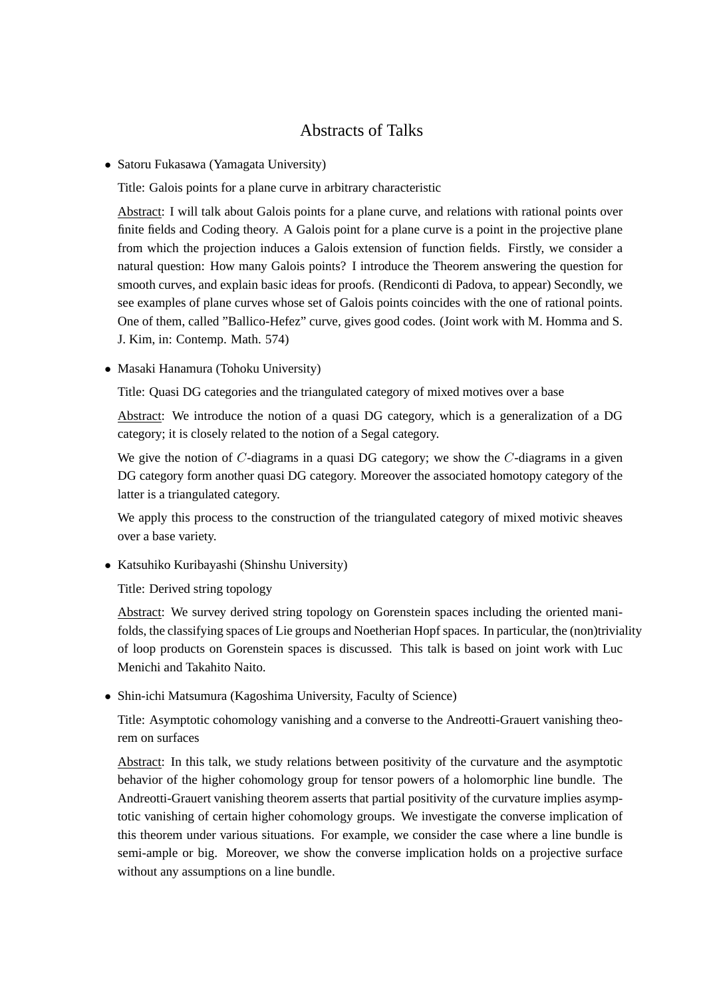## Abstracts of Talks

*•* Satoru Fukasawa (Yamagata University)

Title: Galois points for a plane curve in arbitrary characteristic

Abstract: I will talk about Galois points for a plane curve, and relations with rational points over finite fields and Coding theory. A Galois point for a plane curve is a point in the projective plane from which the projection induces a Galois extension of function fields. Firstly, we consider a natural question: How many Galois points? I introduce the Theorem answering the question for smooth curves, and explain basic ideas for proofs. (Rendiconti di Padova, to appear) Secondly, we see examples of plane curves whose set of Galois points coincides with the one of rational points. One of them, called "Ballico-Hefez" curve, gives good codes. (Joint work with M. Homma and S. J. Kim, in: Contemp. Math. 574)

*•* Masaki Hanamura (Tohoku University)

Title: Quasi DG categories and the triangulated category of mixed motives over a base

Abstract: We introduce the notion of a quasi DG category, which is a generalization of a DG category; it is closely related to the notion of a Segal category.

We give the notion of *C*-diagrams in a quasi DG category; we show the *C*-diagrams in a given DG category form another quasi DG category. Moreover the associated homotopy category of the latter is a triangulated category.

We apply this process to the construction of the triangulated category of mixed motivic sheaves over a base variety.

*•* Katsuhiko Kuribayashi (Shinshu University)

Title: Derived string topology

Abstract: We survey derived string topology on Gorenstein spaces including the oriented manifolds, the classifying spaces of Lie groups and Noetherian Hopf spaces. In particular, the (non)triviality of loop products on Gorenstein spaces is discussed. This talk is based on joint work with Luc Menichi and Takahito Naito.

*•* Shin-ichi Matsumura (Kagoshima University, Faculty of Science)

Title: Asymptotic cohomology vanishing and a converse to the Andreotti-Grauert vanishing theorem on surfaces

Abstract: In this talk, we study relations between positivity of the curvature and the asymptotic behavior of the higher cohomology group for tensor powers of a holomorphic line bundle. The Andreotti-Grauert vanishing theorem asserts that partial positivity of the curvature implies asymptotic vanishing of certain higher cohomology groups. We investigate the converse implication of this theorem under various situations. For example, we consider the case where a line bundle is semi-ample or big. Moreover, we show the converse implication holds on a projective surface without any assumptions on a line bundle.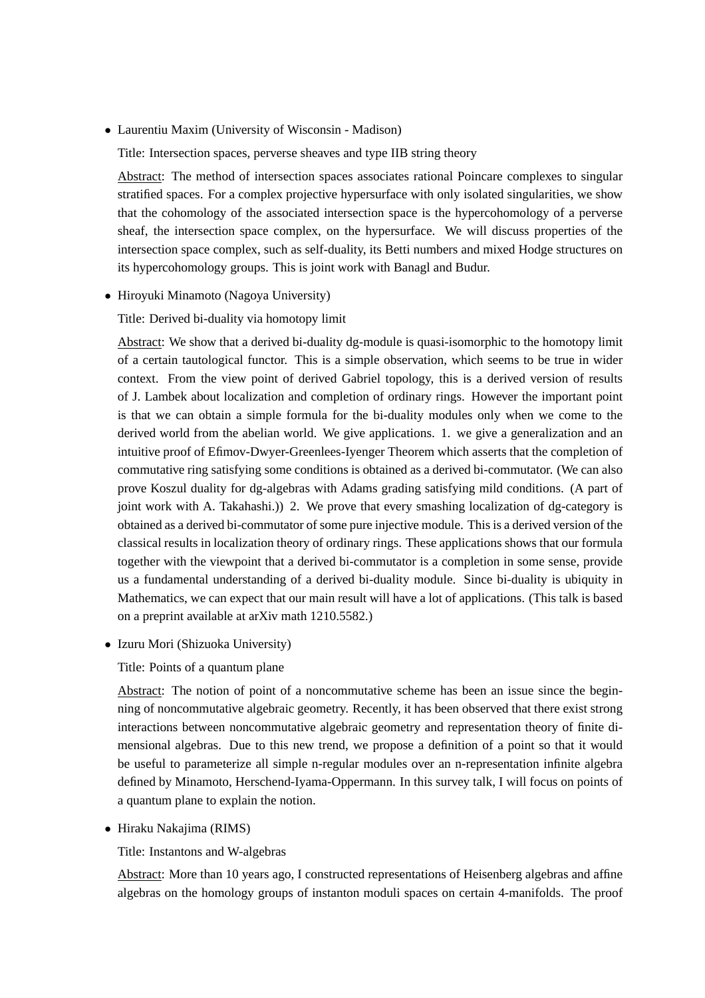*•* Laurentiu Maxim (University of Wisconsin - Madison)

Title: Intersection spaces, perverse sheaves and type IIB string theory

Abstract: The method of intersection spaces associates rational Poincare complexes to singular stratified spaces. For a complex projective hypersurface with only isolated singularities, we show that the cohomology of the associated intersection space is the hypercohomology of a perverse sheaf, the intersection space complex, on the hypersurface. We will discuss properties of the intersection space complex, such as self-duality, its Betti numbers and mixed Hodge structures on its hypercohomology groups. This is joint work with Banagl and Budur.

• Hiroyuki Minamoto (Nagoya University)

Title: Derived bi-duality via homotopy limit

Abstract: We show that a derived bi-duality dg-module is quasi-isomorphic to the homotopy limit of a certain tautological functor. This is a simple observation, which seems to be true in wider context. From the view point of derived Gabriel topology, this is a derived version of results of J. Lambek about localization and completion of ordinary rings. However the important point is that we can obtain a simple formula for the bi-duality modules only when we come to the derived world from the abelian world. We give applications. 1. we give a generalization and an intuitive proof of Efimov-Dwyer-Greenlees-Iyenger Theorem which asserts that the completion of commutative ring satisfying some conditions is obtained as a derived bi-commutator. (We can also prove Koszul duality for dg-algebras with Adams grading satisfying mild conditions. (A part of joint work with A. Takahashi.)) 2. We prove that every smashing localization of dg-category is obtained as a derived bi-commutator of some pure injective module. This is a derived version of the classical results in localization theory of ordinary rings. These applications shows that our formula together with the viewpoint that a derived bi-commutator is a completion in some sense, provide us a fundamental understanding of a derived bi-duality module. Since bi-duality is ubiquity in Mathematics, we can expect that our main result will have a lot of applications. (This talk is based on a preprint available at arXiv math 1210.5582.)

*•* Izuru Mori (Shizuoka University)

Title: Points of a quantum plane

Abstract: The notion of point of a noncommutative scheme has been an issue since the beginning of noncommutative algebraic geometry. Recently, it has been observed that there exist strong interactions between noncommutative algebraic geometry and representation theory of finite dimensional algebras. Due to this new trend, we propose a definition of a point so that it would be useful to parameterize all simple n-regular modules over an n-representation infinite algebra defined by Minamoto, Herschend-Iyama-Oppermann. In this survey talk, I will focus on points of a quantum plane to explain the notion.

*•* Hiraku Nakajima (RIMS)

Title: Instantons and W-algebras

Abstract: More than 10 years ago, I constructed representations of Heisenberg algebras and affine algebras on the homology groups of instanton moduli spaces on certain 4-manifolds. The proof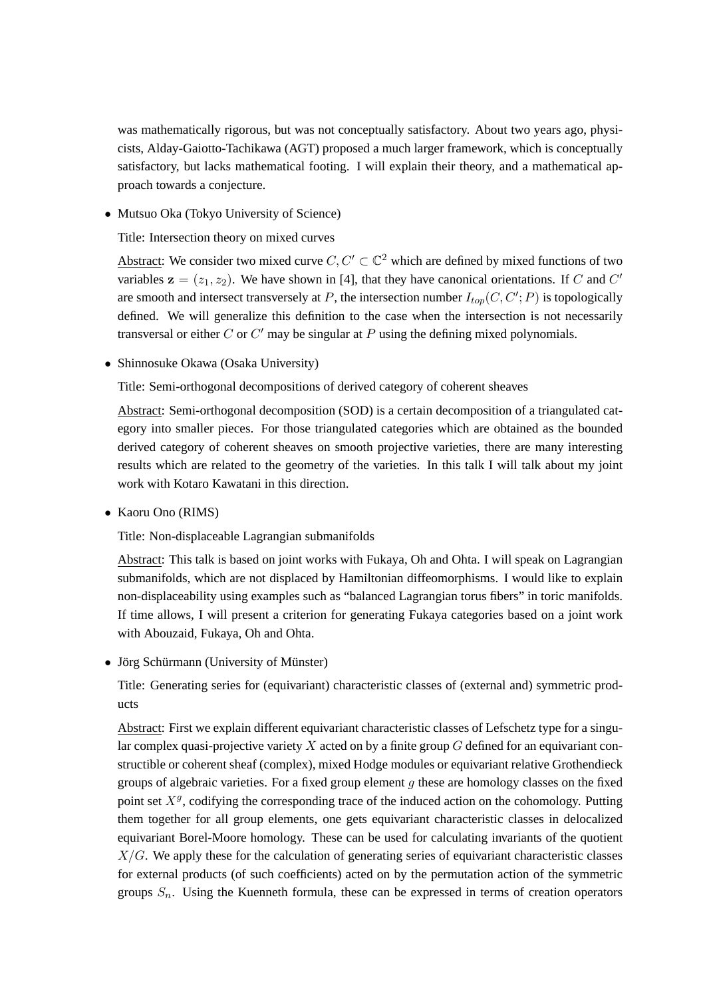was mathematically rigorous, but was not conceptually satisfactory. About two years ago, physicists, Alday-Gaiotto-Tachikawa (AGT) proposed a much larger framework, which is conceptually satisfactory, but lacks mathematical footing. I will explain their theory, and a mathematical approach towards a conjecture.

• Mutsuo Oka (Tokyo University of Science)

Title: Intersection theory on mixed curves

Abstract: We consider two mixed curve  $C, C' \subset \mathbb{C}^2$  which are defined by mixed functions of two variables  $z = (z_1, z_2)$ . We have shown in [4], that they have canonical orientations. If *C* and *C'* are smooth and intersect transversely at *P*, the intersection number *Itop*(*C, C′* ; *P*) is topologically defined. We will generalize this definition to the case when the intersection is not necessarily transversal or either *C* or *C ′* may be singular at *P* using the defining mixed polynomials.

*•* Shinnosuke Okawa (Osaka University)

Title: Semi-orthogonal decompositions of derived category of coherent sheaves

Abstract: Semi-orthogonal decomposition (SOD) is a certain decomposition of a triangulated category into smaller pieces. For those triangulated categories which are obtained as the bounded derived category of coherent sheaves on smooth projective varieties, there are many interesting results which are related to the geometry of the varieties. In this talk I will talk about my joint work with Kotaro Kawatani in this direction.

*•* Kaoru Ono (RIMS)

Title: Non-displaceable Lagrangian submanifolds

Abstract: This talk is based on joint works with Fukaya, Oh and Ohta. I will speak on Lagrangian submanifolds, which are not displaced by Hamiltonian diffeomorphisms. I would like to explain non-displaceability using examples such as "balanced Lagrangian torus fibers" in toric manifolds. If time allows, I will present a criterion for generating Fukaya categories based on a joint work with Abouzaid, Fukaya, Oh and Ohta.

• Jörg Schürmann (University of Münster)

Title: Generating series for (equivariant) characteristic classes of (external and) symmetric products

Abstract: First we explain different equivariant characteristic classes of Lefschetz type for a singular complex quasi-projective variety *X* acted on by a finite group *G* defined for an equivariant constructible or coherent sheaf (complex), mixed Hodge modules or equivariant relative Grothendieck groups of algebraic varieties. For a fixed group element *g* these are homology classes on the fixed point set  $X^g$ , codifying the corresponding trace of the induced action on the cohomology. Putting them together for all group elements, one gets equivariant characteristic classes in delocalized equivariant Borel-Moore homology. These can be used for calculating invariants of the quotient *X/G*. We apply these for the calculation of generating series of equivariant characteristic classes for external products (of such coefficients) acted on by the permutation action of the symmetric groups  $S_n$ . Using the Kuenneth formula, these can be expressed in terms of creation operators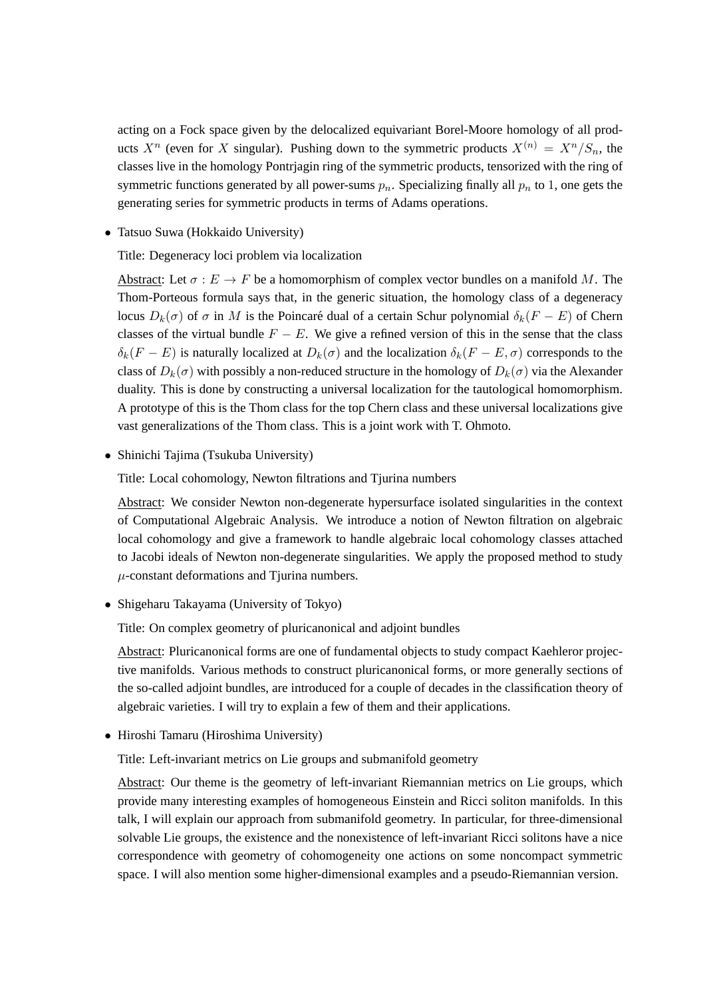acting on a Fock space given by the delocalized equivariant Borel-Moore homology of all products  $X^n$  (even for *X* singular). Pushing down to the symmetric products  $X^{(n)} = X^n/S_n$ , the classes live in the homology Pontrjagin ring of the symmetric products, tensorized with the ring of symmetric functions generated by all power-sums  $p_n$ . Specializing finally all  $p_n$  to 1, one gets the generating series for symmetric products in terms of Adams operations.

*•* Tatsuo Suwa (Hokkaido University)

Title: Degeneracy loci problem via localization

Abstract: Let  $\sigma : E \to F$  be a homomorphism of complex vector bundles on a manifold M. The Thom-Porteous formula says that, in the generic situation, the homology class of a degeneracy locus *D<sub>k</sub>*(*σ*) of *σ* in *M* is the Poincaré dual of a certain Schur polynomial  $δ_k(F − E)$  of Chern classes of the virtual bundle  $F - E$ . We give a refined version of this in the sense that the class *δ*<sup>*k*</sup>(*F* − *E*) is naturally localized at *D*<sup>*k*</sup>(*σ*) and the localization *δ*<sup>*k*</sup>(*F* − *E*, *σ*) corresponds to the class of  $D_k(\sigma)$  with possibly a non-reduced structure in the homology of  $D_k(\sigma)$  via the Alexander duality. This is done by constructing a universal localization for the tautological homomorphism. A prototype of this is the Thom class for the top Chern class and these universal localizations give vast generalizations of the Thom class. This is a joint work with T. Ohmoto.

*•* Shinichi Tajima (Tsukuba University)

Title: Local cohomology, Newton filtrations and Tjurina numbers

Abstract: We consider Newton non-degenerate hypersurface isolated singularities in the context of Computational Algebraic Analysis. We introduce a notion of Newton filtration on algebraic local cohomology and give a framework to handle algebraic local cohomology classes attached to Jacobi ideals of Newton non-degenerate singularities. We apply the proposed method to study *µ*-constant deformations and Tjurina numbers.

• Shigeharu Takayama (University of Tokyo)

Title: On complex geometry of pluricanonical and adjoint bundles

Abstract: Pluricanonical forms are one of fundamental objects to study compact Kaehleror projective manifolds. Various methods to construct pluricanonical forms, or more generally sections of the so-called adjoint bundles, are introduced for a couple of decades in the classification theory of algebraic varieties. I will try to explain a few of them and their applications.

*•* Hiroshi Tamaru (Hiroshima University)

Title: Left-invariant metrics on Lie groups and submanifold geometry

Abstract: Our theme is the geometry of left-invariant Riemannian metrics on Lie groups, which provide many interesting examples of homogeneous Einstein and Ricci soliton manifolds. In this talk, I will explain our approach from submanifold geometry. In particular, for three-dimensional solvable Lie groups, the existence and the nonexistence of left-invariant Ricci solitons have a nice correspondence with geometry of cohomogeneity one actions on some noncompact symmetric space. I will also mention some higher-dimensional examples and a pseudo-Riemannian version.